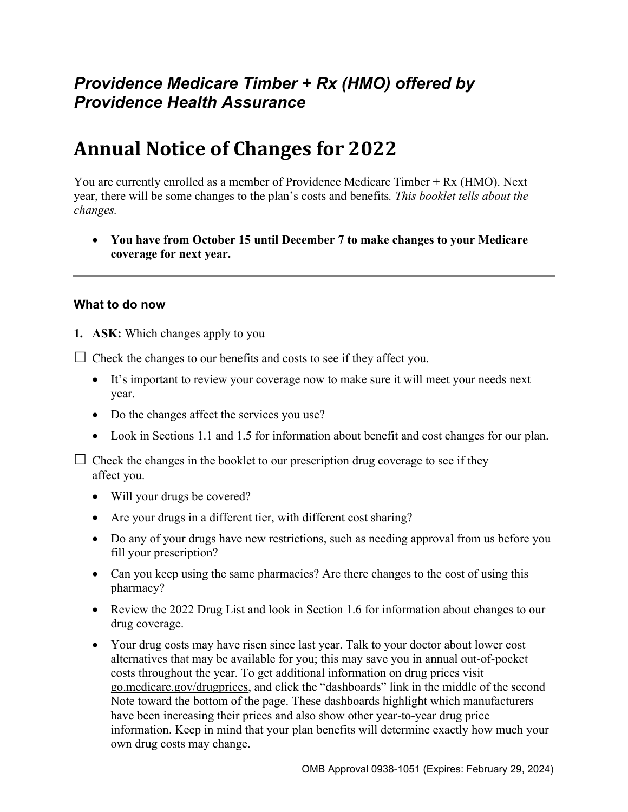## *Providence Medicare Timber + Rx (HMO) offered by Providence Health Assurance*

# **Annual Notice of Changes for 2022**

You are currently enrolled as a member of Providence Medicare Timber + Rx (HMO). Next year, there will be some changes to the plan's costs and benefits*. This booklet tells about the changes.* 

 **You have from October 15 until December 7 to make changes to your Medicare coverage for next year.**

#### **What to do now**

**1. ASK:** Which changes apply to you

 $\Box$  Check the changes to our benefits and costs to see if they affect you.

- It's important to review your coverage now to make sure it will meet your needs next year.
- Do the changes affect the services you use?
- Look in Sections 1.1 and 1.5 for information about benefit and cost changes for our plan.

 $\Box$  Check the changes in the booklet to our prescription drug coverage to see if they affect you.

- Will your drugs be covered?
- Are your drugs in a different tier, with different cost sharing?
- Do any of your drugs have new restrictions, such as needing approval from us before you fill your prescription?
- Can you keep using the same pharmacies? Are there changes to the cost of using this pharmacy?
- Review the 2022 Drug List and look in Section 1.6 for information about changes to our drug coverage.
- Your drug costs may have risen since last year. Talk to your doctor about lower cost alternatives that may be available for you; this may save you in annual out-of-pocket costs throughout the year. To get additional information on drug prices visit [go.medicare.gov/drugprices,](https://go.medicare.gov/drugprices) and click the "dashboards" link in the middle of the second Note toward the bottom of the page. These dashboards highlight which manufacturers have been increasing their prices and also show other year-to-year drug price information. Keep in mind that your plan benefits will determine exactly how much your own drug costs may change.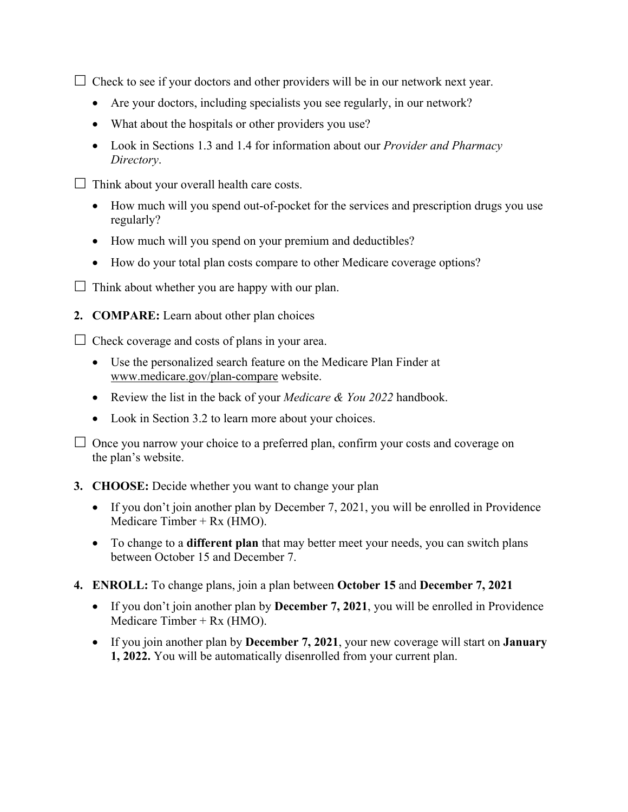$\Box$  Check to see if your doctors and other providers will be in our network next year.

- Are your doctors, including specialists you see regularly, in our network?
- What about the hospitals or other providers you use?
- Look in Sections 1.3 and 1.4 for information about our *Provider and Pharmacy Directory*.
- $\Box$  Think about your overall health care costs.
	- How much will you spend out-of-pocket for the services and prescription drugs you use regularly?
	- How much will you spend on your premium and deductibles?
	- How do your total plan costs compare to other Medicare coverage options?
- $\Box$  Think about whether you are happy with our plan.
- **2. COMPARE:** Learn about other plan choices

 $\Box$  Check coverage and costs of plans in your area.

- Use the personalized search feature on the Medicare Plan Finder at [www.medicare.gov/plan-compare](http://www.medicare.gov/plan-compare) website.
- Review the list in the back of your *Medicare & You 2022* handbook.
- Look in Section 3.2 to learn more about your choices.

 $\Box$  Once you narrow your choice to a preferred plan, confirm your costs and coverage on the plan's website.

#### **3. CHOOSE:** Decide whether you want to change your plan

- If you don't join another plan by December 7, 2021, you will be enrolled in Providence Medicare Timber + Rx (HMO).
- To change to a **different plan** that may better meet your needs, you can switch plans between October 15 and December 7.
- **4. ENROLL:** To change plans, join a plan between **October 15** and **December 7, 2021**
	- If you don't join another plan by **December 7, 2021**, you will be enrolled in Providence Medicare Timber +  $Rx$  (HMO).
	- If you join another plan by **December 7, 2021**, your new coverage will start on **January 1, 2022.** You will be automatically disenrolled from your current plan.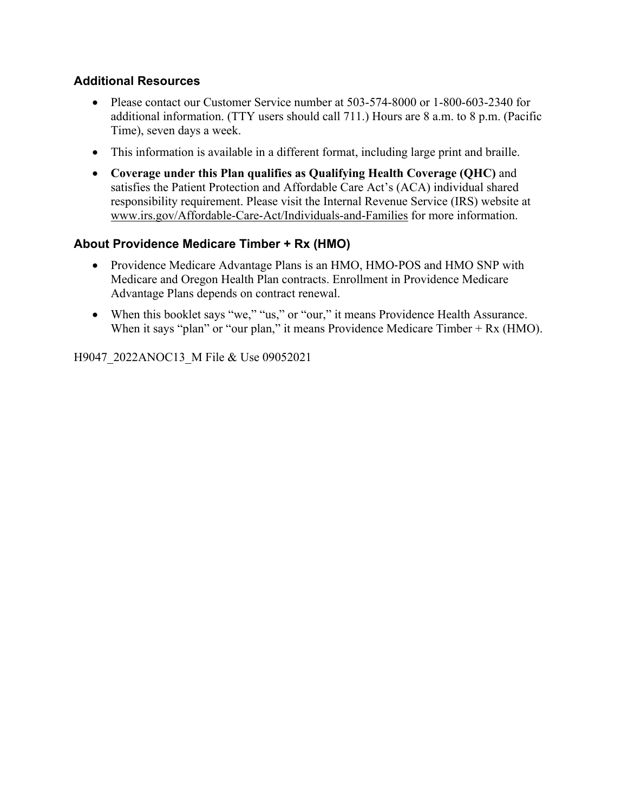#### **Additional Resources**

- Please contact our Customer Service number at 503-574-8000 or 1-800-603-2340 for additional information. (TTY users should call 711.) Hours are 8 a.m. to 8 p.m. (Pacific Time), seven days a week.
- This information is available in a different format, including large print and braille.
- **Coverage under this Plan qualifies as Qualifying Health Coverage (QHC)** and satisfies the Patient Protection and Affordable Care Act's (ACA) individual shared responsibility requirement. Please visit the Internal Revenue Service (IRS) website at [www.irs.gov/Affordable-Care-Act/Individuals-and-Families](http://www.irs.gov/Affordable-Care-Act/Individuals-and-Families) for more information.

#### **About Providence Medicare Timber + Rx (HMO)**

- Providence Medicare Advantage Plans is an HMO, HMO-POS and HMO SNP with Medicare and Oregon Health Plan contracts. Enrollment in Providence Medicare Advantage Plans depends on contract renewal.
- When this booklet says "we," "us," or "our," it means Providence Health Assurance. When it says "plan" or "our plan," it means Providence Medicare Timber + Rx (HMO).

H9047\_2022ANOC13\_M File & Use 09052021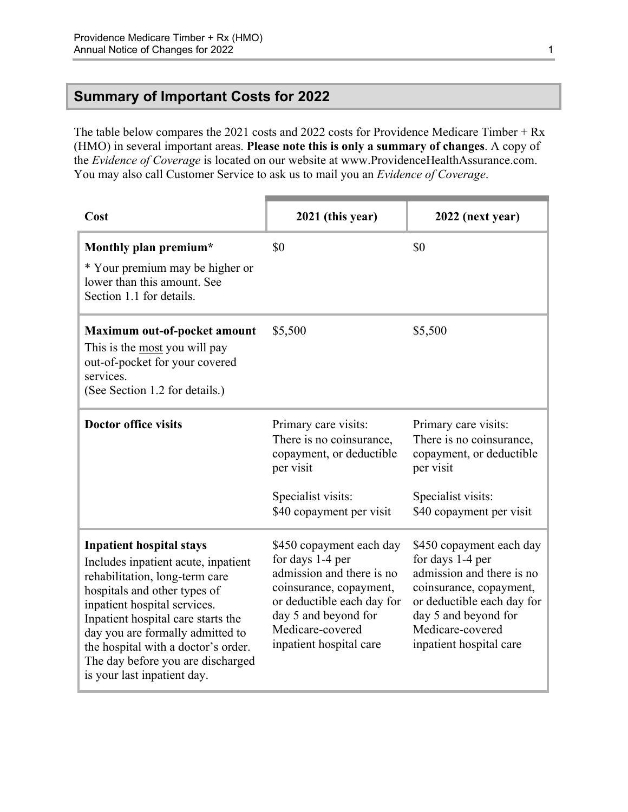## <span id="page-3-0"></span>**Summary of Important Costs for 2022**

The table below compares the 2021 costs and 2022 costs for Providence Medicare Timber + Rx (HMO) in several important areas. **Please note this is only a summary of changes**. A copy of the *Evidence of Coverage* is located on our website at [www.ProvidenceHealthAssurance.com](http://www.ProvidenceHealthAssurance.com). You may also call Customer Service to ask us to mail you an *Evidence of Coverage*.

| Cost                                                                                                                                                                                                                                                                                                                                                          | 2021 (this year)                                                                                                                                                                                          | 2022 (next year)                                                                                                                                                                                          |
|---------------------------------------------------------------------------------------------------------------------------------------------------------------------------------------------------------------------------------------------------------------------------------------------------------------------------------------------------------------|-----------------------------------------------------------------------------------------------------------------------------------------------------------------------------------------------------------|-----------------------------------------------------------------------------------------------------------------------------------------------------------------------------------------------------------|
| Monthly plan premium*<br>* Your premium may be higher or<br>lower than this amount. See<br>Section 1.1 for details.                                                                                                                                                                                                                                           | \$0                                                                                                                                                                                                       | \$0                                                                                                                                                                                                       |
| Maximum out-of-pocket amount<br>This is the most you will pay<br>out-of-pocket for your covered<br>services.<br>(See Section 1.2 for details.)                                                                                                                                                                                                                | \$5,500                                                                                                                                                                                                   | \$5,500                                                                                                                                                                                                   |
| <b>Doctor office visits</b>                                                                                                                                                                                                                                                                                                                                   | Primary care visits:<br>There is no coinsurance,<br>copayment, or deductible<br>per visit<br>Specialist visits:<br>\$40 copayment per visit                                                               | Primary care visits:<br>There is no coinsurance,<br>copayment, or deductible<br>per visit<br>Specialist visits:<br>\$40 copayment per visit                                                               |
| <b>Inpatient hospital stays</b><br>Includes inpatient acute, inpatient<br>rehabilitation, long-term care<br>hospitals and other types of<br>inpatient hospital services.<br>Inpatient hospital care starts the<br>day you are formally admitted to<br>the hospital with a doctor's order.<br>The day before you are discharged<br>is your last inpatient day. | \$450 copayment each day<br>for days 1-4 per<br>admission and there is no<br>coinsurance, copayment,<br>or deductible each day for<br>day 5 and beyond for<br>Medicare-covered<br>inpatient hospital care | \$450 copayment each day<br>for days 1-4 per<br>admission and there is no<br>coinsurance, copayment,<br>or deductible each day for<br>day 5 and beyond for<br>Medicare-covered<br>inpatient hospital care |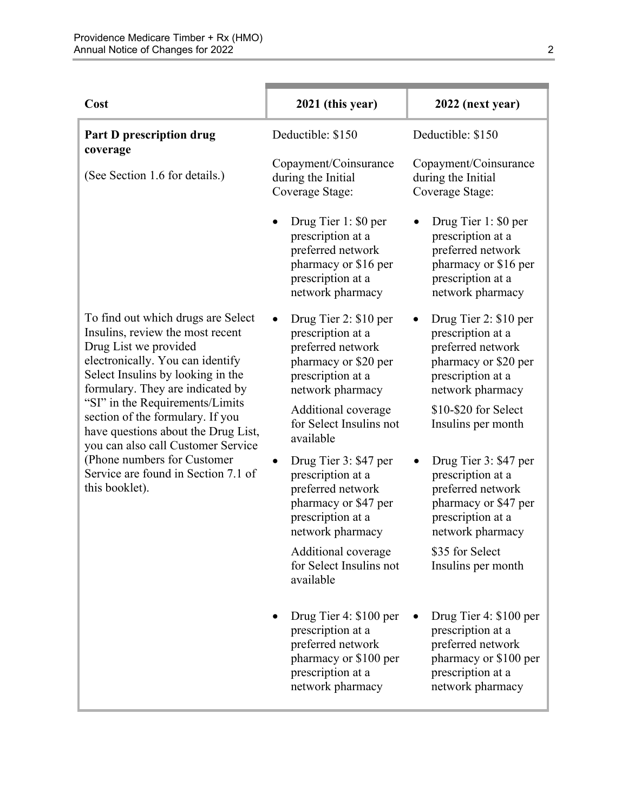| Cost                                                                                                                                                                                                                                                                                                                                                             | 2021 (this year)                                                                                                                   | 2022 (next year)                                                                                                                   |
|------------------------------------------------------------------------------------------------------------------------------------------------------------------------------------------------------------------------------------------------------------------------------------------------------------------------------------------------------------------|------------------------------------------------------------------------------------------------------------------------------------|------------------------------------------------------------------------------------------------------------------------------------|
| Part D prescription drug<br>coverage                                                                                                                                                                                                                                                                                                                             | Deductible: \$150                                                                                                                  | Deductible: \$150                                                                                                                  |
| (See Section 1.6 for details.)                                                                                                                                                                                                                                                                                                                                   | Copayment/Coinsurance<br>during the Initial<br>Coverage Stage:                                                                     | Copayment/Coinsurance<br>during the Initial<br>Coverage Stage:                                                                     |
|                                                                                                                                                                                                                                                                                                                                                                  | Drug Tier 1: \$0 per<br>prescription at a<br>preferred network<br>pharmacy or \$16 per<br>prescription at a<br>network pharmacy    | Drug Tier 1: \$0 per<br>prescription at a<br>preferred network<br>pharmacy or \$16 per<br>prescription at a<br>network pharmacy    |
| To find out which drugs are Select<br>Insulins, review the most recent<br>Drug List we provided<br>electronically. You can identify<br>Select Insulins by looking in the<br>formulary. They are indicated by<br>"SI" in the Requirements/Limits<br>section of the formulary. If you<br>have questions about the Drug List,<br>you can also call Customer Service | Drug Tier 2: \$10 per<br>prescription at a<br>preferred network<br>pharmacy or \$20 per<br>prescription at a<br>network pharmacy   | Drug Tier 2: \$10 per<br>prescription at a<br>preferred network<br>pharmacy or \$20 per<br>prescription at a<br>network pharmacy   |
|                                                                                                                                                                                                                                                                                                                                                                  | Additional coverage<br>for Select Insulins not<br>available                                                                        | \$10-\$20 for Select<br>Insulins per month                                                                                         |
| (Phone numbers for Customer<br>Service are found in Section 7.1 of<br>this booklet).                                                                                                                                                                                                                                                                             | Drug Tier 3: \$47 per<br>prescription at a<br>preferred network<br>pharmacy or \$47 per<br>prescription at a<br>network pharmacy   | Drug Tier 3: \$47 per<br>prescription at a<br>preferred network<br>pharmacy or \$47 per<br>prescription at a<br>network pharmacy   |
|                                                                                                                                                                                                                                                                                                                                                                  | Additional coverage<br>for Select Insulins not<br>available                                                                        | \$35 for Select<br>Insulins per month                                                                                              |
|                                                                                                                                                                                                                                                                                                                                                                  | Drug Tier 4: \$100 per<br>prescription at a<br>preferred network<br>pharmacy or \$100 per<br>prescription at a<br>network pharmacy | Drug Tier 4: \$100 per<br>prescription at a<br>preferred network<br>pharmacy or \$100 per<br>prescription at a<br>network pharmacy |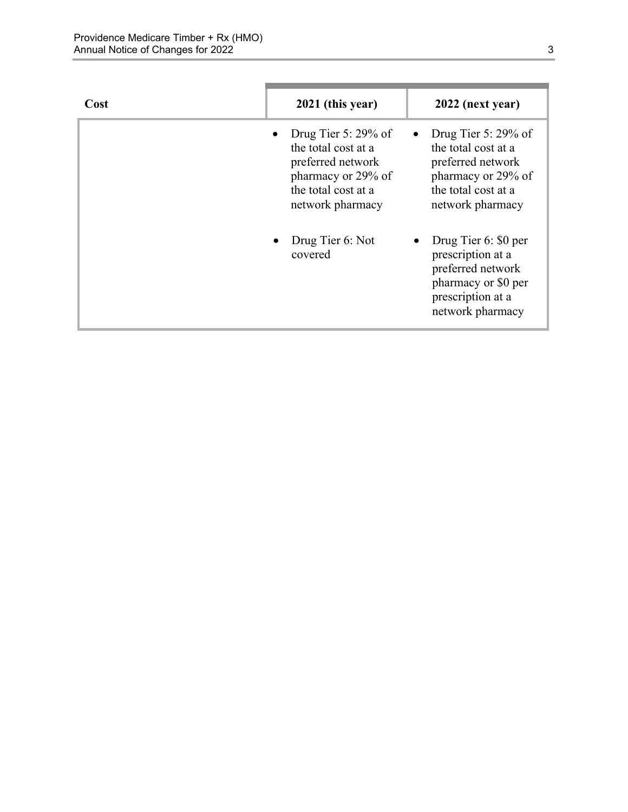| Cost | 2021 (this year)                                                                                                                    | 2022 (next year)                                                                                                                    |
|------|-------------------------------------------------------------------------------------------------------------------------------------|-------------------------------------------------------------------------------------------------------------------------------------|
|      | Drug Tier 5: $29\%$ of<br>the total cost at a<br>preferred network<br>pharmacy or 29% of<br>the total cost at a<br>network pharmacy | Drug Tier 5: $29\%$ of<br>the total cost at a<br>preferred network<br>pharmacy or 29% of<br>the total cost at a<br>network pharmacy |
|      | Drug Tier 6: Not<br>covered                                                                                                         | Drug Tier 6: \$0 per<br>prescription at a<br>preferred network<br>pharmacy or \$0 per<br>prescription at a<br>network pharmacy      |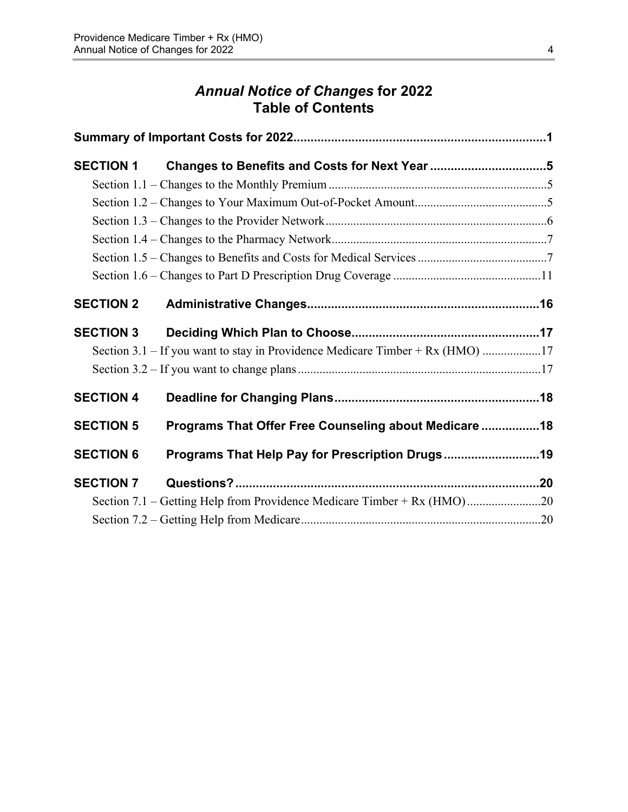## *Annual Notice of Changes* **for 2022 Table of Contents**

| <b>SECTION 1</b> | Changes to Benefits and Costs for Next Year 5                                 |  |
|------------------|-------------------------------------------------------------------------------|--|
|                  |                                                                               |  |
|                  |                                                                               |  |
|                  |                                                                               |  |
|                  |                                                                               |  |
|                  |                                                                               |  |
|                  |                                                                               |  |
| <b>SECTION 2</b> |                                                                               |  |
| <b>SECTION 3</b> |                                                                               |  |
|                  | Section 3.1 – If you want to stay in Providence Medicare Timber + Rx (HMO) 17 |  |
|                  |                                                                               |  |
| <b>SECTION 4</b> |                                                                               |  |
| <b>SECTION 5</b> | Programs That Offer Free Counseling about Medicare  18                        |  |
| <b>SECTION 6</b> | Programs That Help Pay for Prescription Drugs19                               |  |
| <b>SECTION 7</b> |                                                                               |  |
|                  | Section 7.1 – Getting Help from Providence Medicare Timber + Rx (HMO)20       |  |
|                  |                                                                               |  |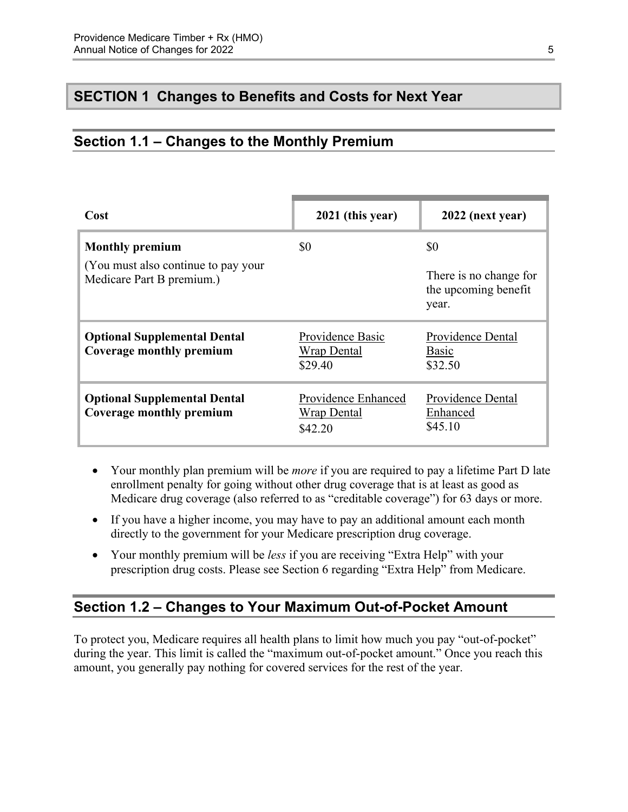## <span id="page-7-0"></span>**SECTION 1 Changes to Benefits and Costs for Next Year**

## <span id="page-7-1"></span>**Section 1.1 – Changes to the Monthly Premium**

| Cost                                                                                        | 2021 (this year)                                     | 2022 (next year)                                               |
|---------------------------------------------------------------------------------------------|------------------------------------------------------|----------------------------------------------------------------|
| <b>Monthly premium</b><br>(You must also continue to pay your)<br>Medicare Part B premium.) | \$0                                                  | \$0<br>There is no change for<br>the upcoming benefit<br>year. |
| <b>Optional Supplemental Dental</b><br>Coverage monthly premium                             | Providence Basic<br><b>Wrap Dental</b><br>\$29.40    | Providence Dental<br>Basic<br>\$32.50                          |
| <b>Optional Supplemental Dental</b><br>Coverage monthly premium                             | Providence Enhanced<br><b>Wrap Dental</b><br>\$42.20 | Providence Dental<br>Enhanced<br>\$45.10                       |

- Your monthly plan premium will be *more* if you are required to pay a lifetime Part D late enrollment penalty for going without other drug coverage that is at least as good as Medicare drug coverage (also referred to as "creditable coverage") for 63 days or more.
- If you have a higher income, you may have to pay an additional amount each month directly to the government for your Medicare prescription drug coverage.
- Your monthly premium will be *less* if you are receiving "Extra Help" with your prescription drug costs. Please see Section 6 regarding "Extra Help" from Medicare.

## <span id="page-7-2"></span>**Section 1.2 – Changes to Your Maximum Out-of-Pocket Amount**

 amount, you generally pay nothing for covered services for the rest of the year. To protect you, Medicare requires all health plans to limit how much you pay "out-of-pocket" during the year. This limit is called the "maximum out-of-pocket amount." Once you reach this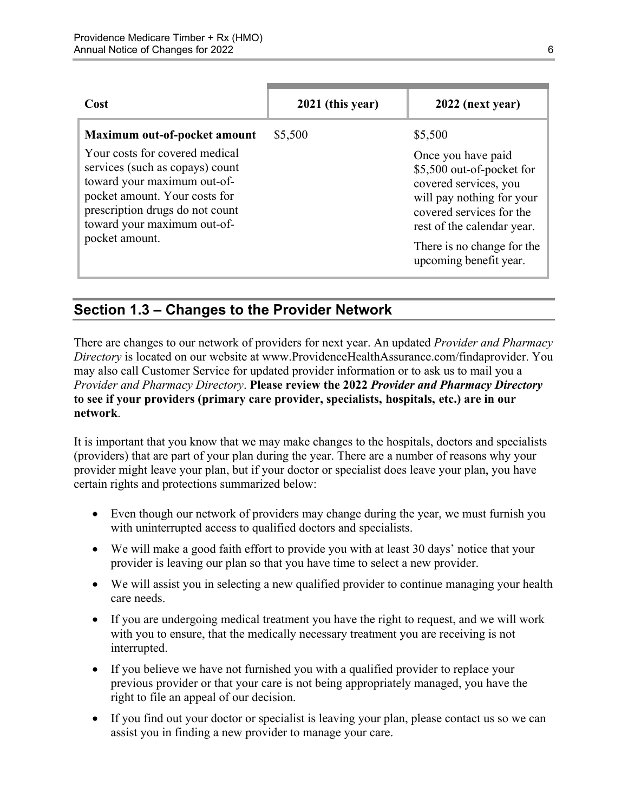| Cost                                                                                                                                                                                                                  | 2021 (this year) | 2022 (next year)                                                                                                                                                                                                        |  |
|-----------------------------------------------------------------------------------------------------------------------------------------------------------------------------------------------------------------------|------------------|-------------------------------------------------------------------------------------------------------------------------------------------------------------------------------------------------------------------------|--|
| Maximum out-of-pocket amount                                                                                                                                                                                          | \$5,500          | \$5,500                                                                                                                                                                                                                 |  |
| Your costs for covered medical<br>services (such as copays) count<br>toward your maximum out-of-<br>pocket amount. Your costs for<br>prescription drugs do not count<br>toward your maximum out-of-<br>pocket amount. |                  | Once you have paid<br>\$5,500 out-of-pocket for<br>covered services, you<br>will pay nothing for your<br>covered services for the<br>rest of the calendar year.<br>There is no change for the<br>upcoming benefit year. |  |

## <span id="page-8-0"></span>**Section 1.3 – Changes to the Provider Network**

 **to see if your providers (primary care provider, specialists, hospitals, etc.) are in our**  There are changes to our network of providers for next year. An updated *Provider and Pharmacy Directory* is located on our website at [www.ProvidenceHealthAssurance.com/findaprovider.](http://www.ProvidenceHealthAssurance.com/findaprovider) You may also call Customer Service for updated provider information or to ask us to mail you a *Provider and Pharmacy Directory*. **Please review the 2022** *Provider and Pharmacy Directory*  **network**.

It is important that you know that we may make changes to the hospitals, doctors and specialists (providers) that are part of your plan during the year. There are a number of reasons why your provider might leave your plan, but if your doctor or specialist does leave your plan, you have certain rights and protections summarized below:

- Even though our network of providers may change during the year, we must furnish you with uninterrupted access to qualified doctors and specialists.
- We will make a good faith effort to provide you with at least 30 days' notice that your provider is leaving our plan so that you have time to select a new provider.
- We will assist you in selecting a new qualified provider to continue managing your health care needs.
- If you are undergoing medical treatment you have the right to request, and we will work with you to ensure, that the medically necessary treatment you are receiving is not interrupted.
- If you believe we have not furnished you with a qualified provider to replace your previous provider or that your care is not being appropriately managed, you have the right to file an appeal of our decision.
- If you find out your doctor or specialist is leaving your plan, please contact us so we can assist you in finding a new provider to manage your care.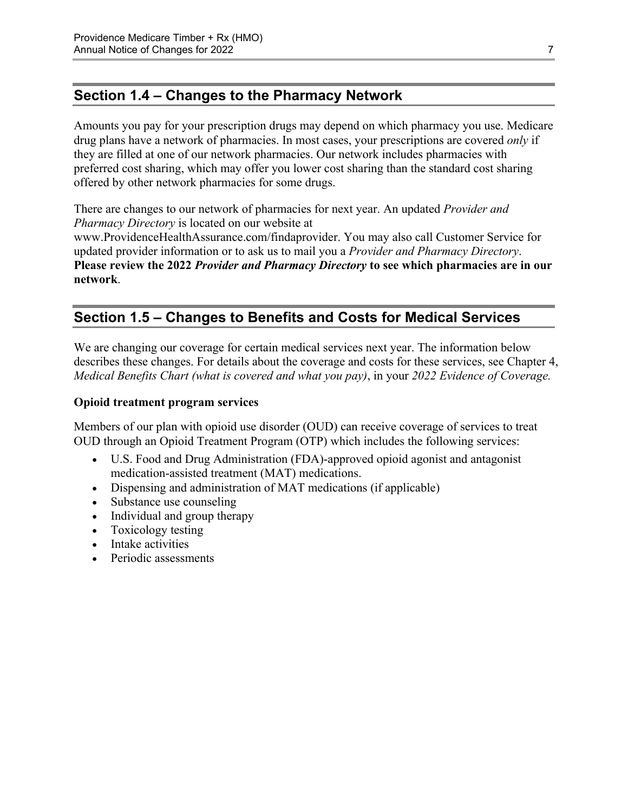## <span id="page-9-0"></span>**Section 1.4 – Changes to the Pharmacy Network**

Amounts you pay for your prescription drugs may depend on which pharmacy you use. Medicare drug plans have a network of pharmacies. In most cases, your prescriptions are covered *only* if they are filled at one of our network pharmacies. Our network includes pharmacies with preferred cost sharing, which may offer you lower cost sharing than the standard cost sharing offered by other network pharmacies for some drugs.

There are changes to our network of pharmacies for next year. An updated *Provider and Pharmacy Directory* is located on our website at [www.ProvidenceHealthAssurance.com/findaprovider](http://www.ProvidenceHealthAssurance.com/findaprovider). You may also call Customer Service for updated provider information or to ask us to mail you a *Provider and Pharmacy Directory*. **Please review the 2022** *Provider and Pharmacy Directory* **to see which pharmacies are in our** 

## **Section 1.5 – Changes to Benefits and Costs for Medical Services**

We are changing our coverage for certain medical services next year. The information below describes these changes. For details about the coverage and costs for these services, see Chapter 4, *Medical Benefits Chart (what is covered and what you pay)*, in your *2022 Evidence of Coverage.* 

#### **Opioid treatment program services**

<span id="page-9-1"></span>**network**.

Members of our plan with opioid use disorder (OUD) can receive coverage of services to treat OUD through an Opioid Treatment Program (OTP) which includes the following services:

- U.S. Food and Drug Administration (FDA)-approved opioid agonist and antagonist medication-assisted treatment (MAT) medications.
- Dispensing and administration of MAT medications (if applicable)
- Substance use counseling
- Individual and group therapy
- Toxicology testing
- Intake activities
- Periodic assessments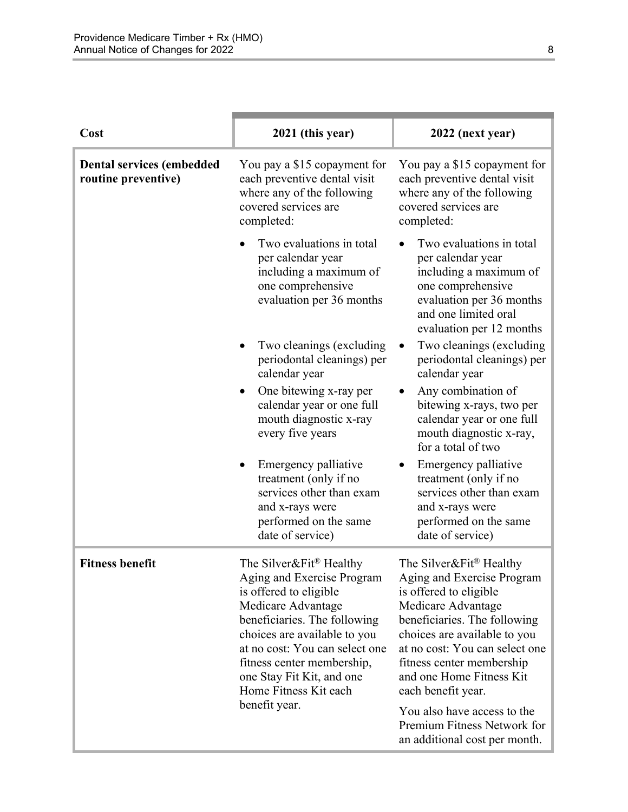| Cost                                                    | 2021 (this year)                                                                                                                                                                                                                                                                                                         | 2022 (next year)                                                                                                                                                                                                                                                                       |
|---------------------------------------------------------|--------------------------------------------------------------------------------------------------------------------------------------------------------------------------------------------------------------------------------------------------------------------------------------------------------------------------|----------------------------------------------------------------------------------------------------------------------------------------------------------------------------------------------------------------------------------------------------------------------------------------|
| <b>Dental services (embedded</b><br>routine preventive) | You pay a \$15 copayment for<br>each preventive dental visit<br>where any of the following<br>covered services are<br>completed:                                                                                                                                                                                         | You pay a \$15 copayment for<br>each preventive dental visit<br>where any of the following<br>covered services are<br>completed:                                                                                                                                                       |
|                                                         | Two evaluations in total<br>per calendar year<br>including a maximum of<br>one comprehensive<br>evaluation per 36 months                                                                                                                                                                                                 | Two evaluations in total<br>per calendar year<br>including a maximum of<br>one comprehensive<br>evaluation per 36 months<br>and one limited oral<br>evaluation per 12 months                                                                                                           |
|                                                         | Two cleanings (excluding<br>periodontal cleanings) per<br>calendar year                                                                                                                                                                                                                                                  | Two cleanings (excluding<br>٠<br>periodontal cleanings) per<br>calendar year                                                                                                                                                                                                           |
|                                                         | One bitewing x-ray per<br>calendar year or one full<br>mouth diagnostic x-ray<br>every five years                                                                                                                                                                                                                        | Any combination of<br>bitewing x-rays, two per<br>calendar year or one full<br>mouth diagnostic x-ray,<br>for a total of two                                                                                                                                                           |
|                                                         | Emergency palliative<br>treatment (only if no<br>services other than exam<br>and x-rays were<br>performed on the same<br>date of service)                                                                                                                                                                                | Emergency palliative<br>treatment (only if no<br>services other than exam<br>and x-rays were<br>performed on the same<br>date of service)                                                                                                                                              |
| <b>Fitness benefit</b>                                  | The Silver&Fit <sup>®</sup> Healthy<br>Aging and Exercise Program<br>is offered to eligible<br>Medicare Advantage<br>beneficiaries. The following<br>choices are available to you<br>at no cost: You can select one<br>fitness center membership,<br>one Stay Fit Kit, and one<br>Home Fitness Kit each<br>benefit year. | The Silver&Fit® Healthy<br>Aging and Exercise Program<br>is offered to eligible<br>Medicare Advantage<br>beneficiaries. The following<br>choices are available to you<br>at no cost: You can select one<br>fitness center membership<br>and one Home Fitness Kit<br>each benefit year. |
|                                                         |                                                                                                                                                                                                                                                                                                                          | You also have access to the<br>Premium Fitness Network for<br>an additional cost per month.                                                                                                                                                                                            |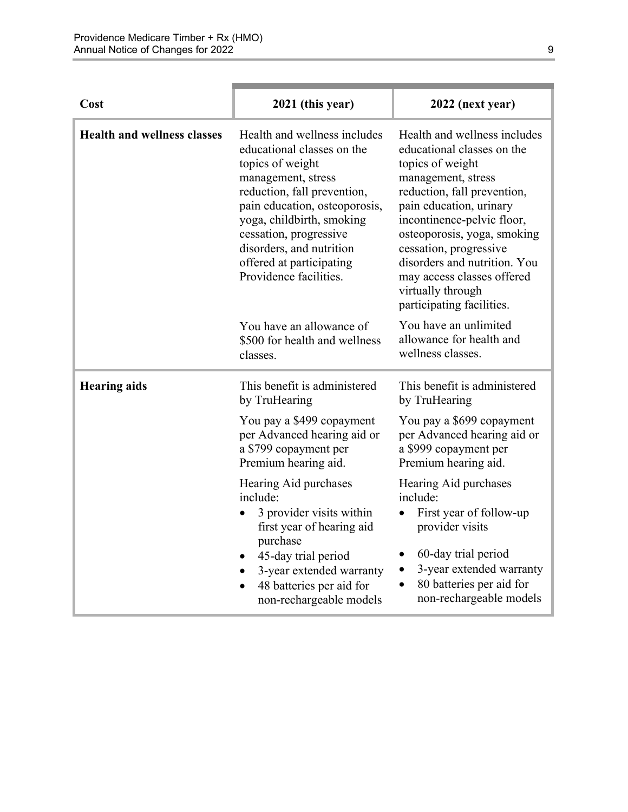| Cost                               | 2021 (this year)                                                                                                                                                                                                                                                                                              | 2022 (next year)                                                                                                                                                                                                                                                                                                                                                      |
|------------------------------------|---------------------------------------------------------------------------------------------------------------------------------------------------------------------------------------------------------------------------------------------------------------------------------------------------------------|-----------------------------------------------------------------------------------------------------------------------------------------------------------------------------------------------------------------------------------------------------------------------------------------------------------------------------------------------------------------------|
| <b>Health and wellness classes</b> | Health and wellness includes<br>educational classes on the<br>topics of weight<br>management, stress<br>reduction, fall prevention,<br>pain education, osteoporosis,<br>yoga, childbirth, smoking<br>cessation, progressive<br>disorders, and nutrition<br>offered at participating<br>Providence facilities. | Health and wellness includes<br>educational classes on the<br>topics of weight<br>management, stress<br>reduction, fall prevention,<br>pain education, urinary<br>incontinence-pelvic floor,<br>osteoporosis, yoga, smoking<br>cessation, progressive<br>disorders and nutrition. You<br>may access classes offered<br>virtually through<br>participating facilities. |
|                                    | You have an allowance of<br>\$500 for health and wellness<br>classes.                                                                                                                                                                                                                                         | You have an unlimited<br>allowance for health and<br>wellness classes.                                                                                                                                                                                                                                                                                                |
| <b>Hearing aids</b>                | This benefit is administered<br>by TruHearing                                                                                                                                                                                                                                                                 | This benefit is administered<br>by TruHearing                                                                                                                                                                                                                                                                                                                         |
|                                    | You pay a \$499 copayment<br>per Advanced hearing aid or<br>a \$799 copayment per<br>Premium hearing aid.                                                                                                                                                                                                     | You pay a \$699 copayment<br>per Advanced hearing aid or<br>a \$999 copayment per<br>Premium hearing aid.                                                                                                                                                                                                                                                             |
|                                    | Hearing Aid purchases<br>include:<br>3 provider visits within<br>first year of hearing aid<br>purchase<br>45-day trial period<br>3-year extended warranty<br>48 batteries per aid for<br>non-rechargeable models                                                                                              | Hearing Aid purchases<br>include:<br>First year of follow-up<br>provider visits<br>60-day trial period<br>٠<br>3-year extended warranty<br>٠<br>80 batteries per aid for<br>$\bullet$<br>non-rechargeable models                                                                                                                                                      |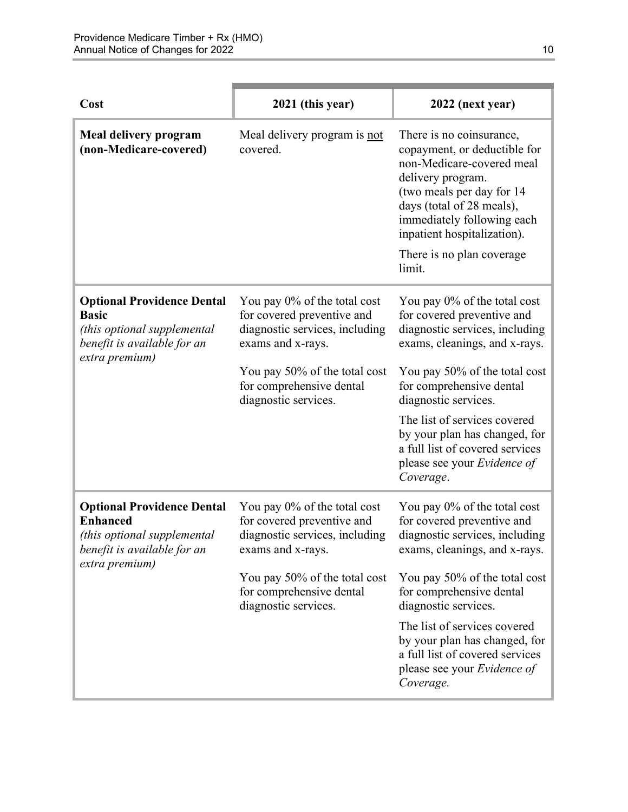| Cost                                                                                                                                 | 2021 (this year)                                                                                                                                                                                       | 2022 (next year)                                                                                                                                                                                                                                                                                                                                                   |
|--------------------------------------------------------------------------------------------------------------------------------------|--------------------------------------------------------------------------------------------------------------------------------------------------------------------------------------------------------|--------------------------------------------------------------------------------------------------------------------------------------------------------------------------------------------------------------------------------------------------------------------------------------------------------------------------------------------------------------------|
| Meal delivery program<br>(non-Medicare-covered)                                                                                      | Meal delivery program is not<br>covered.                                                                                                                                                               | There is no coinsurance,<br>copayment, or deductible for<br>non-Medicare-covered meal<br>delivery program.<br>(two meals per day for 14<br>days (total of 28 meals),<br>immediately following each<br>inpatient hospitalization).<br>There is no plan coverage.<br>limit.                                                                                          |
| <b>Optional Providence Dental</b><br><b>Basic</b><br>(this optional supplemental<br>benefit is available for an<br>extra premium)    | You pay 0% of the total cost<br>for covered preventive and<br>diagnostic services, including<br>exams and x-rays.<br>You pay 50% of the total cost<br>for comprehensive dental<br>diagnostic services. | You pay 0% of the total cost<br>for covered preventive and<br>diagnostic services, including<br>exams, cleanings, and x-rays.<br>You pay 50% of the total cost<br>for comprehensive dental<br>diagnostic services.<br>The list of services covered<br>by your plan has changed, for<br>a full list of covered services<br>please see your Evidence of<br>Coverage. |
| <b>Optional Providence Dental</b><br><b>Enhanced</b><br>(this optional supplemental<br>benefit is available for an<br>extra premium) | You pay 0% of the total cost<br>for covered preventive and<br>diagnostic services, including<br>exams and x-rays.<br>You pay 50% of the total cost<br>for comprehensive dental<br>diagnostic services. | You pay 0% of the total cost<br>for covered preventive and<br>diagnostic services, including<br>exams, cleanings, and x-rays.<br>You pay 50% of the total cost<br>for comprehensive dental<br>diagnostic services.<br>The list of services covered<br>by your plan has changed, for<br>a full list of covered services<br>please see your Evidence of<br>Coverage. |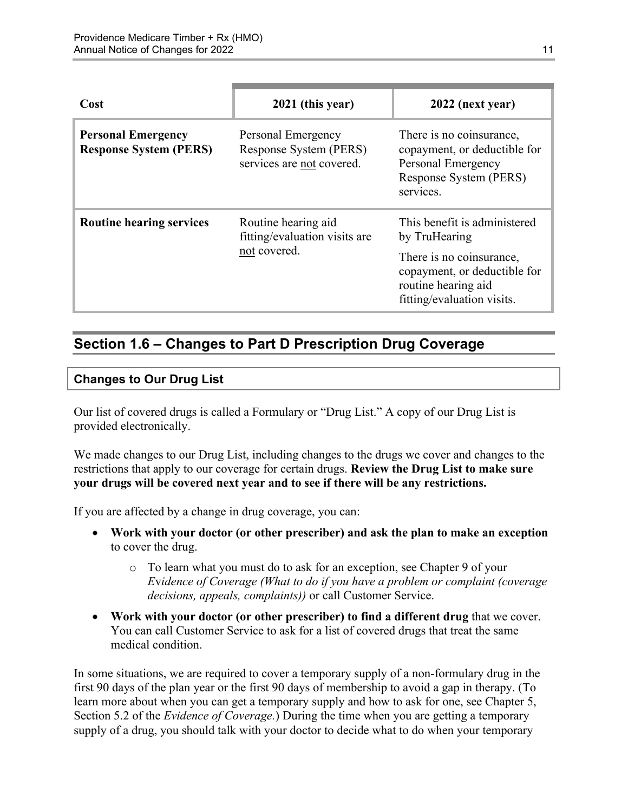| Cost                                                       | 2021 (this year)                                                          | 2022 (next year)                                                                                                                                               |
|------------------------------------------------------------|---------------------------------------------------------------------------|----------------------------------------------------------------------------------------------------------------------------------------------------------------|
| <b>Personal Emergency</b><br><b>Response System (PERS)</b> | Personal Emergency<br>Response System (PERS)<br>services are not covered. | There is no coinsurance,<br>copayment, or deductible for<br>Personal Emergency<br>Response System (PERS)<br>services.                                          |
| <b>Routine hearing services</b>                            | Routine hearing aid<br>fitting/evaluation visits are<br>not covered.      | This benefit is administered<br>by TruHearing<br>There is no coinsurance,<br>copayment, or deductible for<br>routine hearing aid<br>fitting/evaluation visits. |

## <span id="page-13-0"></span>**Section 1.6 – Changes to Part D Prescription Drug Coverage**

#### **Changes to Our Drug List**

Our list of covered drugs is called a Formulary or "Drug List." A copy of our Drug List is provided electronically.

We made changes to our Drug List, including changes to the drugs we cover and changes to the restrictions that apply to our coverage for certain drugs. **Review the Drug List to make sure your drugs will be covered next year and to see if there will be any restrictions.** 

If you are affected by a change in drug coverage, you can:

- **Work with your doctor (or other prescriber) and ask the plan to make an exception**  to cover the drug.
	- o To learn what you must do to ask for an exception, see Chapter 9 of your *E*v*idence of Coverage (What to do if you have a problem or complaint (coverage decisions, appeals, complaints))* or call Customer Service.
- **Work with your doctor (or other prescriber) to find a different drug** that we cover. You can call Customer Service to ask for a list of covered drugs that treat the same medical condition.

 Section 5.2 of the *Evidence of Coverage.*) During the time when you are getting a temporary In some situations, we are required to cover a temporary supply of a non-formulary drug in the first 90 days of the plan year or the first 90 days of membership to avoid a gap in therapy. (To learn more about when you can get a temporary supply and how to ask for one, see Chapter 5, supply of a drug, you should talk with your doctor to decide what to do when your temporary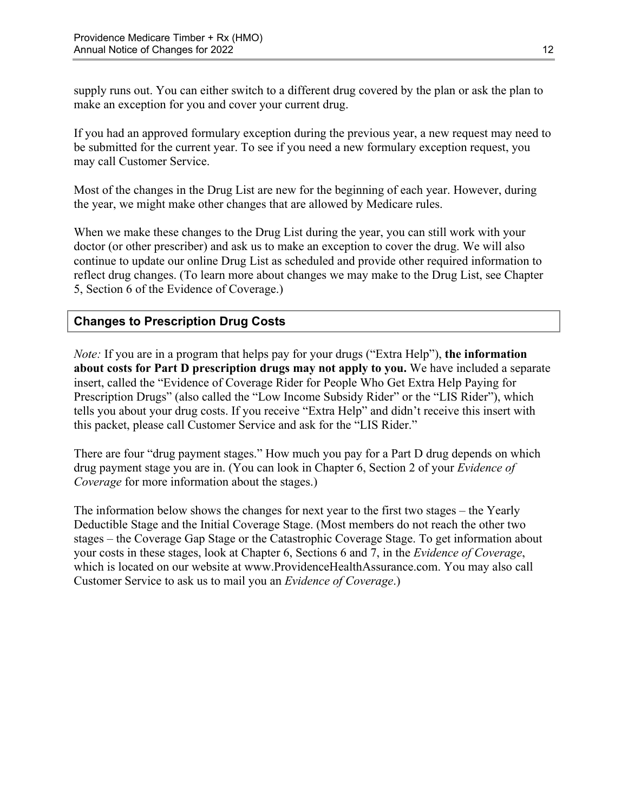supply runs out. You can either switch to a different drug covered by the plan or ask the plan to make an exception for you and cover your current drug.

If you had an approved formulary exception during the previous year, a new request may need to be submitted for the current year. To see if you need a new formulary exception request, you may call Customer Service.

Most of the changes in the Drug List are new for the beginning of each year. However, during the year, we might make other changes that are allowed by Medicare rules.

When we make these changes to the Drug List during the year, you can still work with your doctor (or other prescriber) and ask us to make an exception to cover the drug. We will also continue to update our online Drug List as scheduled and provide other required information to reflect drug changes. (To learn more about changes we may make to the Drug List, see Chapter 5, Section 6 of the Evidence of Coverage.)

#### **Changes to Prescription Drug Costs**

*Note:* If you are in a program that helps pay for your drugs ("Extra Help"), **the information about costs for Part D prescription drugs may not apply to you.** We have included a separate insert, called the "Evidence of Coverage Rider for People Who Get Extra Help Paying for Prescription Drugs" (also called the "Low Income Subsidy Rider" or the "LIS Rider"), which tells you about your drug costs. If you receive "Extra Help" and didn't receive this insert with this packet, please call Customer Service and ask for the "LIS Rider."

There are four "drug payment stages." How much you pay for a Part D drug depends on which drug payment stage you are in. (You can look in Chapter 6, Section 2 of your *Evidence of Coverage* for more information about the stages.)

The information below shows the changes for next year to the first two stages – the Yearly Deductible Stage and the Initial Coverage Stage. (Most members do not reach the other two stages – the Coverage Gap Stage or the Catastrophic Coverage Stage. To get information about your costs in these stages, look at Chapter 6, Sections 6 and 7, in the *Evidence of Coverage*, which is located on our website a[t www.ProvidenceHealthAssurance.com.](http://www.ProvidenceHealthAssurance.com) You may also call Customer Service to ask us to mail you an *Evidence of Coverage*.)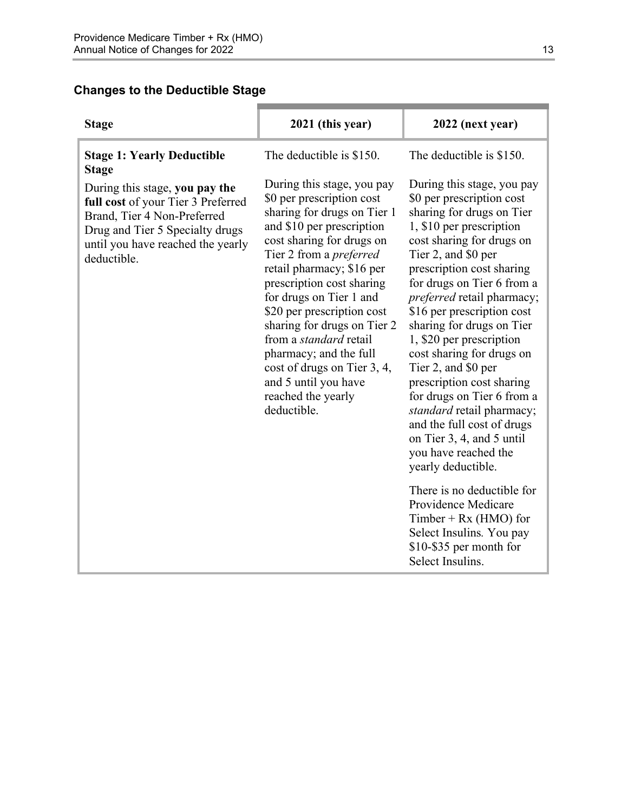## **Changes to the Deductible Stage**

| 2021 (this year)                                                                                                                                                                                                                                                                                                                                                                                                                                                                            | 2022 (next year)                                                                                                                                                                                                                                                                                                                                                                                                                                                                                                                                                                                                 |
|---------------------------------------------------------------------------------------------------------------------------------------------------------------------------------------------------------------------------------------------------------------------------------------------------------------------------------------------------------------------------------------------------------------------------------------------------------------------------------------------|------------------------------------------------------------------------------------------------------------------------------------------------------------------------------------------------------------------------------------------------------------------------------------------------------------------------------------------------------------------------------------------------------------------------------------------------------------------------------------------------------------------------------------------------------------------------------------------------------------------|
| The deductible is \$150.                                                                                                                                                                                                                                                                                                                                                                                                                                                                    | The deductible is \$150.                                                                                                                                                                                                                                                                                                                                                                                                                                                                                                                                                                                         |
| During this stage, you pay<br>\$0 per prescription cost<br>sharing for drugs on Tier 1<br>and \$10 per prescription<br>cost sharing for drugs on<br>Tier 2 from a <i>preferred</i><br>retail pharmacy; \$16 per<br>prescription cost sharing<br>for drugs on Tier 1 and<br>\$20 per prescription cost<br>sharing for drugs on Tier 2<br>from a <i>standard</i> retail<br>pharmacy; and the full<br>cost of drugs on Tier 3, 4,<br>and 5 until you have<br>reached the yearly<br>deductible. | During this stage, you pay<br>\$0 per prescription cost<br>sharing for drugs on Tier<br>1, \$10 per prescription<br>cost sharing for drugs on<br>Tier 2, and \$0 per<br>prescription cost sharing<br>for drugs on Tier 6 from a<br><i>preferred</i> retail pharmacy;<br>\$16 per prescription cost<br>sharing for drugs on Tier<br>1, \$20 per prescription<br>cost sharing for drugs on<br>Tier 2, and \$0 per<br>prescription cost sharing<br>for drugs on Tier 6 from a<br>standard retail pharmacy;<br>and the full cost of drugs<br>on Tier 3, 4, and 5 until<br>you have reached the<br>yearly deductible. |
|                                                                                                                                                                                                                                                                                                                                                                                                                                                                                             | There is no deductible for<br>Providence Medicare<br>Timber + $Rx$ (HMO) for<br>Select Insulins. You pay<br>\$10-\$35 per month for<br>Select Insulins.                                                                                                                                                                                                                                                                                                                                                                                                                                                          |
|                                                                                                                                                                                                                                                                                                                                                                                                                                                                                             |                                                                                                                                                                                                                                                                                                                                                                                                                                                                                                                                                                                                                  |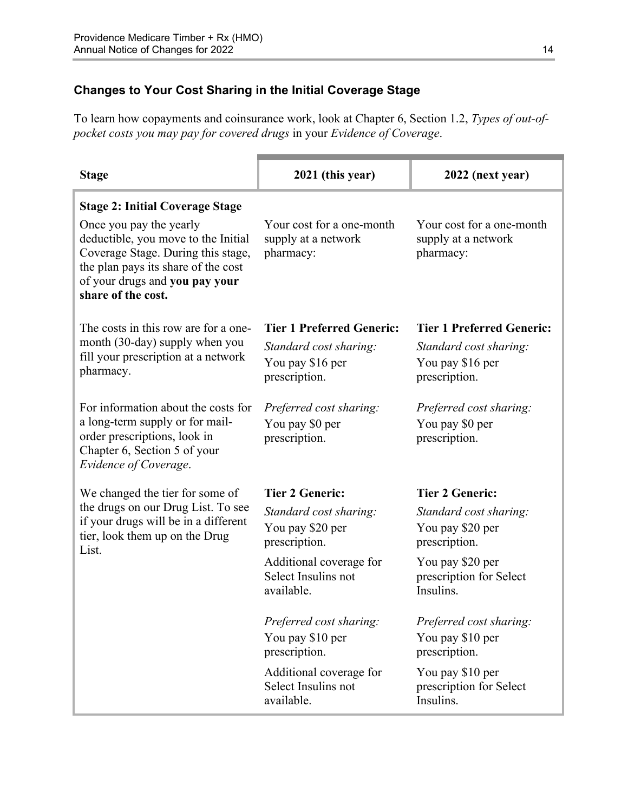## **Changes to Your Cost Sharing in the Initial Coverage Stage**

To learn how copayments and coinsurance work, look at Chapter 6, Section 1.2, *Types of out-ofpocket costs you may pay for covered drugs* in your *Evidence of Coverage*.

| <b>Stage</b>                                                                                                                                                                                        | 2021 (this year)                                              | 2022 (next year)                                              |
|-----------------------------------------------------------------------------------------------------------------------------------------------------------------------------------------------------|---------------------------------------------------------------|---------------------------------------------------------------|
| <b>Stage 2: Initial Coverage Stage</b>                                                                                                                                                              |                                                               |                                                               |
| Once you pay the yearly<br>deductible, you move to the Initial<br>Coverage Stage. During this stage,<br>the plan pays its share of the cost<br>of your drugs and you pay your<br>share of the cost. | Your cost for a one-month<br>supply at a network<br>pharmacy: | Your cost for a one-month<br>supply at a network<br>pharmacy: |
| The costs in this row are for a one-                                                                                                                                                                | <b>Tier 1 Preferred Generic:</b>                              | <b>Tier 1 Preferred Generic:</b>                              |
| month (30-day) supply when you                                                                                                                                                                      | Standard cost sharing:                                        | Standard cost sharing:                                        |
| fill your prescription at a network<br>pharmacy.                                                                                                                                                    | You pay \$16 per                                              | You pay \$16 per                                              |
|                                                                                                                                                                                                     | prescription.                                                 | prescription.                                                 |
| For information about the costs for                                                                                                                                                                 | Preferred cost sharing:                                       | Preferred cost sharing:                                       |
| a long-term supply or for mail-                                                                                                                                                                     | You pay \$0 per                                               | You pay \$0 per                                               |
| order prescriptions, look in<br>Chapter 6, Section 5 of your<br>Evidence of Coverage.                                                                                                               | prescription.                                                 | prescription.                                                 |
| We changed the tier for some of                                                                                                                                                                     | <b>Tier 2 Generic:</b>                                        | <b>Tier 2 Generic:</b>                                        |
| the drugs on our Drug List. To see                                                                                                                                                                  | Standard cost sharing:                                        | Standard cost sharing:                                        |
| if your drugs will be in a different<br>tier, look them up on the Drug                                                                                                                              | You pay \$20 per                                              | You pay \$20 per                                              |
| List.                                                                                                                                                                                               | prescription.                                                 | prescription.                                                 |
|                                                                                                                                                                                                     | Additional coverage for                                       | You pay \$20 per                                              |
|                                                                                                                                                                                                     | Select Insulins not<br>available.                             | prescription for Select<br>Insulins.                          |
|                                                                                                                                                                                                     | Preferred cost sharing:                                       | Preferred cost sharing:                                       |
|                                                                                                                                                                                                     | You pay \$10 per<br>prescription.                             | You pay \$10 per<br>prescription.                             |
|                                                                                                                                                                                                     | Additional coverage for                                       | You pay \$10 per                                              |
|                                                                                                                                                                                                     | Select Insulins not<br>available.                             | prescription for Select<br>Insulins.                          |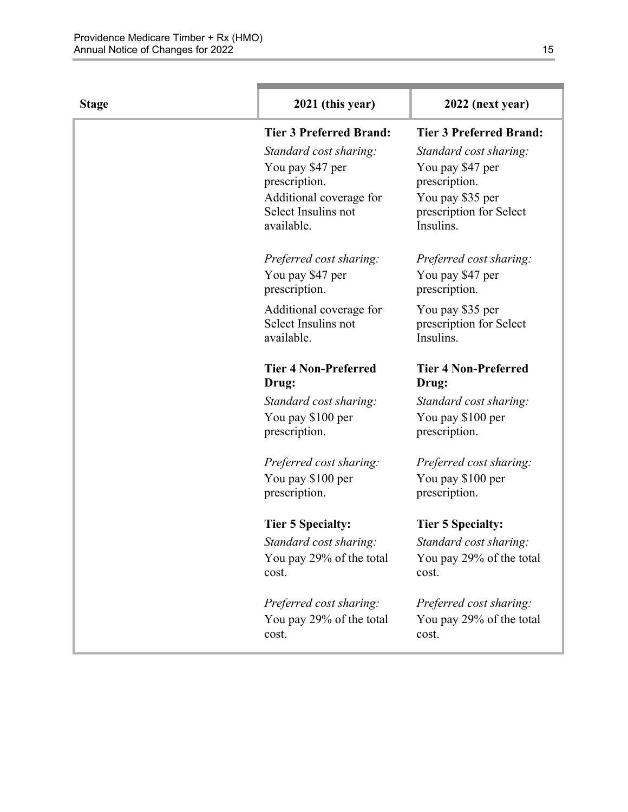| <b>Stage</b> | 2021 (this year)                               | 2022 (next year)                            |
|--------------|------------------------------------------------|---------------------------------------------|
|              | <b>Tier 3 Preferred Brand:</b>                 | <b>Tier 3 Preferred Brand:</b>              |
|              | Standard cost sharing:                         | Standard cost sharing:                      |
|              | You pay \$47 per                               | You pay \$47 per                            |
|              | prescription.                                  | prescription.                               |
|              | Additional coverage for                        | You pay \$35 per                            |
|              | Select Insulins not<br>available.              | prescription for Select<br>Insulins.        |
|              | Preferred cost sharing:                        | Preferred cost sharing:                     |
|              | You pay \$47 per<br>prescription.              | You pay \$47 per<br>prescription.           |
|              |                                                |                                             |
|              | Additional coverage for<br>Select Insulins not | You pay \$35 per<br>prescription for Select |
|              | available.                                     | Insulins.                                   |
|              | <b>Tier 4 Non-Preferred</b><br>Drug:           | <b>Tier 4 Non-Preferred</b><br>Drug:        |
|              | Standard cost sharing:                         | Standard cost sharing:                      |
|              | You pay \$100 per                              | You pay \$100 per                           |
|              | prescription.                                  | prescription.                               |
|              | Preferred cost sharing:                        | Preferred cost sharing:                     |
|              | You pay \$100 per                              | You pay \$100 per                           |
|              | prescription.                                  | prescription.                               |
|              | <b>Tier 5 Specialty:</b>                       | <b>Tier 5 Specialty:</b>                    |
|              | Standard cost sharing:                         | Standard cost sharing:                      |
|              | You pay 29% of the total                       | You pay 29% of the total                    |
|              | cost.                                          | cost.                                       |
|              | Preferred cost sharing:                        | Preferred cost sharing:                     |
|              | You pay 29% of the total                       | You pay 29% of the total                    |
|              | cost.                                          | cost.                                       |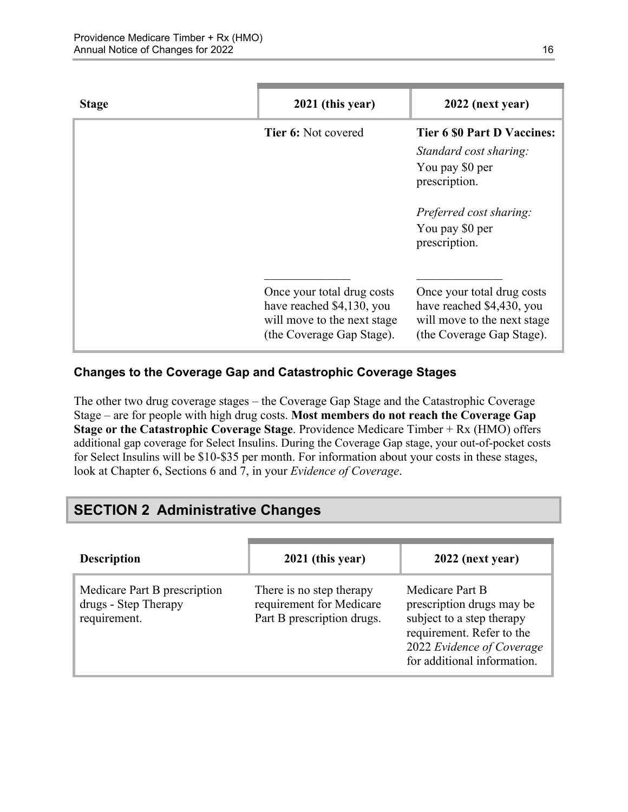| <b>Stage</b> | 2021 (this year)                                                                                                    | 2022 (next year)                                                                                                                                                |
|--------------|---------------------------------------------------------------------------------------------------------------------|-----------------------------------------------------------------------------------------------------------------------------------------------------------------|
|              | <b>Tier 6:</b> Not covered                                                                                          | <b>Tier 6 \$0 Part D Vaccines:</b><br>Standard cost sharing:<br>You pay \$0 per<br>prescription.<br>Preferred cost sharing:<br>You pay \$0 per<br>prescription. |
|              | Once your total drug costs<br>have reached \$4,130, you<br>will move to the next stage<br>(the Coverage Gap Stage). | Once your total drug costs<br>have reached \$4,430, you<br>will move to the next stage<br>(the Coverage Gap Stage).                                             |

#### **Changes to the Coverage Gap and Catastrophic Coverage Stages**

The other two drug coverage stages – the Coverage Gap Stage and the Catastrophic Coverage Stage – are for people with high drug costs. **Most members do not reach the Coverage Gap Stage or the Catastrophic Coverage Stage**. Providence Medicare Timber + Rx (HMO) offers additional gap coverage for Select Insulins. During the Coverage Gap stage, your out-of-pocket costs for Select Insulins will be \$10-\$35 per month. For information about your costs in these stages, look at Chapter 6, Sections 6 and 7, in your *Evidence of Coverage*.

## <span id="page-18-0"></span>**SECTION 2 Administrative Changes**

| <b>Description</b>                                                   | 2021 (this year)                                                                   | 2022 (next year)                                                                                                                                                   |
|----------------------------------------------------------------------|------------------------------------------------------------------------------------|--------------------------------------------------------------------------------------------------------------------------------------------------------------------|
| Medicare Part B prescription<br>drugs - Step Therapy<br>requirement. | There is no step therapy<br>requirement for Medicare<br>Part B prescription drugs. | Medicare Part B<br>prescription drugs may be<br>subject to a step therapy<br>requirement. Refer to the<br>2022 Evidence of Coverage<br>for additional information. |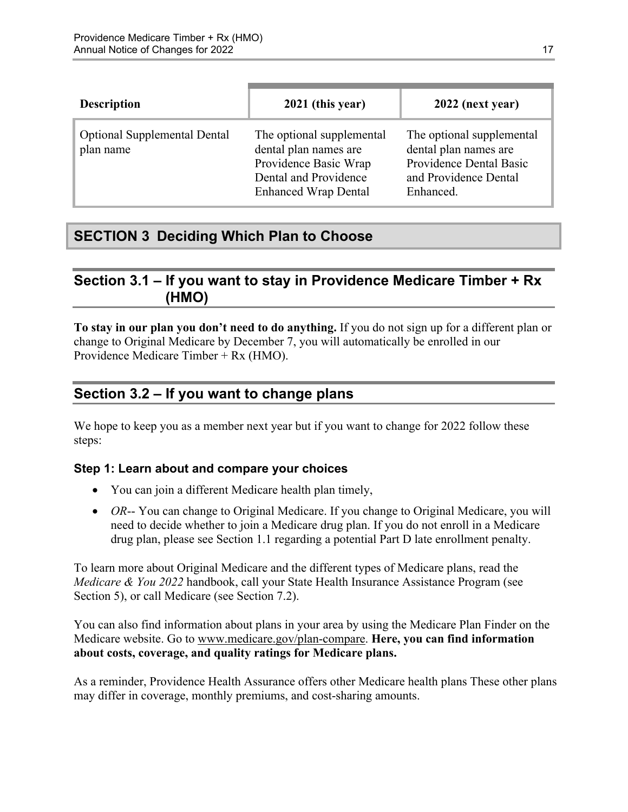| <b>Description</b>                               | 2021 (this year)                                                                                                                    | 2022 (next year)                                                                                                    |
|--------------------------------------------------|-------------------------------------------------------------------------------------------------------------------------------------|---------------------------------------------------------------------------------------------------------------------|
| <b>Optional Supplemental Dental</b><br>plan name | The optional supplemental<br>dental plan names are<br>Providence Basic Wrap<br>Dental and Providence<br><b>Enhanced Wrap Dental</b> | The optional supplemental<br>dental plan names are<br>Providence Dental Basic<br>and Providence Dental<br>Enhanced. |

## <span id="page-19-0"></span>**SECTION 3 Deciding Which Plan to Choose**

## <span id="page-19-1"></span>**Section 3.1 – If you want to stay in Providence Medicare Timber + Rx (HMO)**

**To stay in our plan you don't need to do anything.** If you do not sign up for a different plan or change to Original Medicare by December 7, you will automatically be enrolled in our Providence Medicare Timber + Rx (HMO).

## <span id="page-19-2"></span>**Section 3.2 – If you want to change plans**

We hope to keep you as a member next year but if you want to change for 2022 follow these steps:

#### **Step 1: Learn about and compare your choices**

- You can join a different Medicare health plan timely,
- *OR*-- You can change to Original Medicare. If you change to Original Medicare, you will need to decide whether to join a Medicare drug plan. If you do not enroll in a Medicare drug plan, please see Section 1.1 regarding a potential Part D late enrollment penalty.

To learn more about Original Medicare and the different types of Medicare plans, read the *Medicare & You 2022* handbook, call your State Health Insurance Assistance Program (see Section 5), or call Medicare (see Section 7.2).

You can also find information about plans in your area by using the Medicare Plan Finder on the Medicare website. Go to [www.medicare.gov/plan-compare](http://www.medicare.gov/plan-compare). **Here, you can find information about costs, coverage, and quality ratings for Medicare plans.** 

As a reminder, Providence Health Assurance offers other Medicare health plans These other plans may differ in coverage, monthly premiums, and cost-sharing amounts.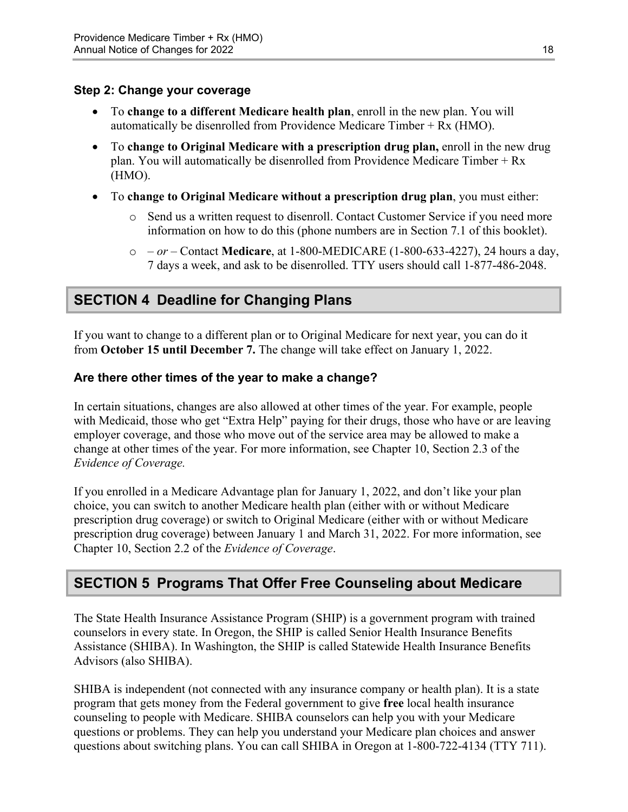#### **Step 2: Change your coverage**

- To **change to a different Medicare health plan**, enroll in the new plan. You will automatically be disenrolled from Providence Medicare Timber + Rx (HMO).
- To **change to Original Medicare with a prescription drug plan,** enroll in the new drug plan. You will automatically be disenrolled from Providence Medicare Timber + Rx (HMO).
- To **change to Original Medicare without a prescription drug plan**, you must either:
	- $\circ$  Send us a written request to disenroll. Contact Customer Service if you need more information on how to do this (phone numbers are in Section 7.1 of this booklet).
	- o  *or –* Contact **Medicare**, at 1-800-MEDICARE (1-800-633-4227), 24 hours a day, 7 days a week, and ask to be disenrolled. TTY users should call 1-877-486-2048.

## <span id="page-20-0"></span>**SECTION 4 Deadline for Changing Plans**

If you want to change to a different plan or to Original Medicare for next year, you can do it from **October 15 until December 7.** The change will take effect on January 1, 2022.

#### **Are there other times of the year to make a change?**

In certain situations, changes are also allowed at other times of the year. For example, people with Medicaid, those who get "Extra Help" paying for their drugs, those who have or are leaving employer coverage, and those who move out of the service area may be allowed to make a change at other times of the year. For more information, see Chapter 10, Section 2.3 of the *Evidence of Coverage.* 

 Chapter 10, Section 2.2 of the *Evidence of Coverage*. If you enrolled in a Medicare Advantage plan for January 1, 2022, and don't like your plan choice, you can switch to another Medicare health plan (either with or without Medicare prescription drug coverage) or switch to Original Medicare (either with or without Medicare prescription drug coverage) between January 1 and March 31, 2022. For more information, see

## <span id="page-20-1"></span>**SECTION 5 Programs That Offer Free Counseling about Medicare**

The State Health Insurance Assistance Program (SHIP) is a government program with trained counselors in every state. In Oregon, the SHIP is called Senior Health Insurance Benefits Assistance (SHIBA). In Washington, the SHIP is called Statewide Health Insurance Benefits Advisors (also SHIBA).

 SHIBA is independent (not connected with any insurance company or health plan). It is a state program that gets money from the Federal government to give **free** local health insurance counseling to people with Medicare. SHIBA counselors can help you with your Medicare questions or problems. They can help you understand your Medicare plan choices and answer questions about switching plans. You can call SHIBA in Oregon at 1-800-722-4134 (TTY 711).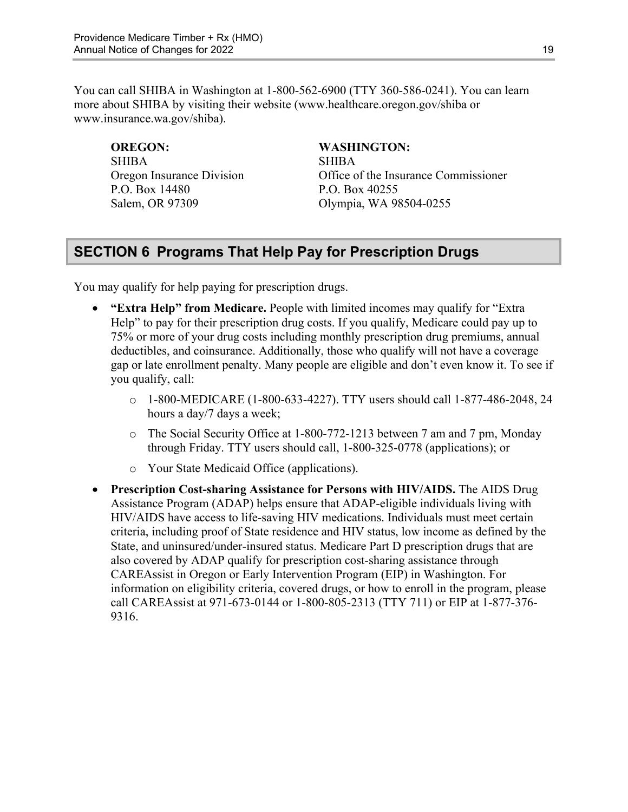You can call SHIBA in Washington at 1-800-562-6900 (TTY 360-586-0241). You can learn more about SHIBA by visiting their website ([www.healthcare.oregon.gov/shiba](http://healthcare.oregon.gov/shiba) or [www.insurance.wa.gov/shiba\)](http://www.insurance.wa.gov/shiba).

SHIBA SHIBA P.O. Box 14480 P.O. Box 40255

#### **OREGON: WASHINGTON:**

Oregon Insurance Division Office of the Insurance Commissioner Salem, OR 97309 Olympia, WA 98504-0255

## <span id="page-21-0"></span>**SECTION 6 Programs That Help Pay for Prescription Drugs**

You may qualify for help paying for prescription drugs.

- **"Extra Help" from Medicare.** People with limited incomes may qualify for "Extra Help" to pay for their prescription drug costs. If you qualify, Medicare could pay up to 75% or more of your drug costs including monthly prescription drug premiums, annual deductibles, and coinsurance. Additionally, those who qualify will not have a coverage gap or late enrollment penalty. Many people are eligible and don't even know it. To see if you qualify, call:
	- o 1-800-MEDICARE (1-800-633-4227). TTY users should call 1-877-486-2048, 24 hours a day/7 days a week;
	- o The Social Security Office at 1-800-772-1213 between 7 am and 7 pm, Monday through Friday. TTY users should call, 1-800-325-0778 (applications); or
	- o Your State Medicaid Office (applications).
- **Prescription Cost-sharing Assistance for Persons with HIV/AIDS.** The AIDS Drug Assistance Program (ADAP) helps ensure that ADAP-eligible individuals living with HIV/AIDS have access to life-saving HIV medications. Individuals must meet certain criteria, including proof of State residence and HIV status, low income as defined by the State, and uninsured/under-insured status. Medicare Part D prescription drugs that are also covered by ADAP qualify for prescription cost-sharing assistance through CAREAssist in Oregon or Early Intervention Program (EIP) in Washington. For information on eligibility criteria, covered drugs, or how to enroll in the program, please call CAREAssist at 971-673-0144 or 1-800-805-2313 (TTY 711) or EIP at 1-877-376 9316.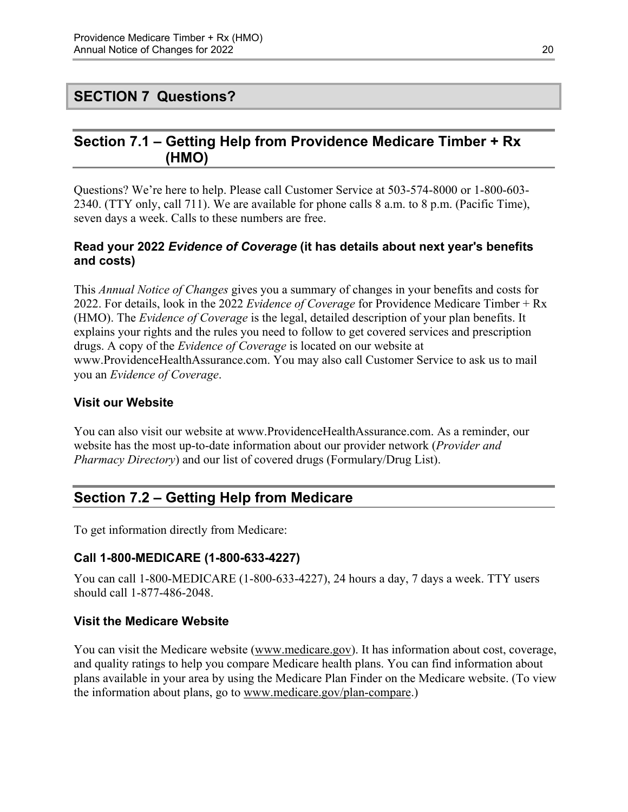## <span id="page-22-0"></span>**SECTION 7 Questions?**

## <span id="page-22-1"></span>**Section 7.1 – Getting Help from Providence Medicare Timber + Rx (HMO)**

Questions? We're here to help. Please call Customer Service at 503-574-8000 or 1-800-603 2340. (TTY only, call 711). We are available for phone calls 8 a.m. to 8 p.m. (Pacific Time), seven days a week. Calls to these numbers are free.

#### **Read your 2022** *Evidence of Coverage* **(it has details about next year's benefits and costs)**

This *Annual Notice of Changes* gives you a summary of changes in your benefits and costs for 2022. For details, look in the 2022 *Evidence of Coverage* for Providence Medicare Timber + Rx (HMO). The *Evidence of Coverage* is the legal, detailed description of your plan benefits. It explains your rights and the rules you need to follow to get covered services and prescription drugs. A copy of the *Evidence of Coverage* is located on our website at [www.ProvidenceHealthAssurance.com.](http://www.ProvidenceHealthAssurance.com) You may also call Customer Service to ask us to mail you an *Evidence of Coverage*.

#### **Visit our Website**

You can also visit our website at [www.ProvidenceHealthAssurance.com](http://www.ProvidenceHealthAssurance.com). As a reminder, our website has the most up-to-date information about our provider network (*Provider and Pharmacy Directory*) and our list of covered drugs (Formulary/Drug List).

## <span id="page-22-2"></span>**Section 7.2 – Getting Help from Medicare**

To get information directly from Medicare:

#### **Call 1-800-MEDICARE (1-800-633-4227)**

You can call 1-800-MEDICARE (1-800-633-4227), 24 hours a day, 7 days a week. TTY users should call 1-877-486-2048.

#### **Visit the Medicare Website**

You can visit the Medicare website ([www.medicare.gov\)](http://www.medicare.gov/). It has information about cost, coverage, and quality ratings to help you compare Medicare health plans. You can find information about plans available in your area by using the Medicare Plan Finder on the Medicare website. (To view the information about plans, go to [www.medicare.gov/plan-compare.](http://www.medicare.gov/plan-compare))